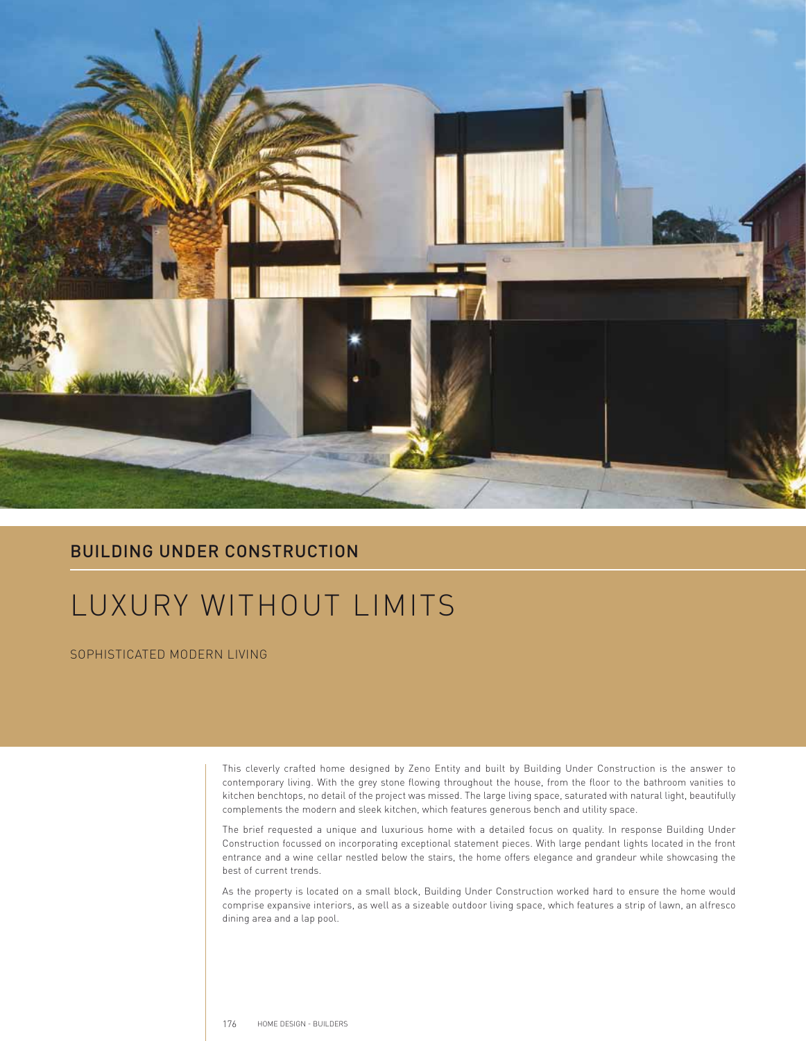

## BUILDING UNDER CONSTRUCTION

## LUXURY WITHOUT LIMITS

SOPHISTICATED MODERN LIVING

This cleverly crafted home designed by Zeno Entity and built by Building Under Construction is the answer to contemporary living. With the grey stone flowing throughout the house, from the floor to the bathroom vanities to kitchen benchtops, no detail of the project was missed. The large living space, saturated with natural light, beautifully complements the modern and sleek kitchen, which features generous bench and utility space.

The brief requested a unique and luxurious home with a detailed focus on quality. In response Building Under Construction focussed on incorporating exceptional statement pieces. With large pendant lights located in the front entrance and a wine cellar nestled below the stairs, the home offers elegance and grandeur while showcasing the best of current trends.

As the property is located on a small block, Building Under Construction worked hard to ensure the home would comprise expansive interiors, as well as a sizeable outdoor living space, which features a strip of lawn, an alfresco dining area and a lap pool.